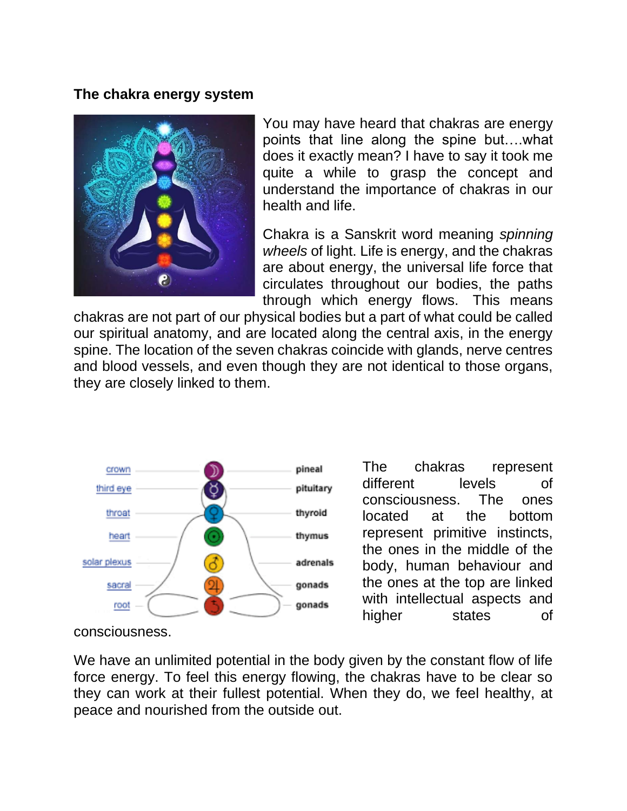## **The chakra energy system**



You may have heard that chakras are energy points that line along the spine but….what does it exactly mean? I have to say it took me quite a while to grasp the concept and understand the importance of chakras in our health and life.

Chakra is a Sanskrit word meaning *spinning wheels* of light. Life is energy, and the chakras are about energy, the universal life force that circulates throughout our bodies, the paths through which energy flows. This means

chakras are not part of our physical bodies but a part of what could be called our spiritual anatomy, and are located along the central axis, in the energy spine. The location of the seven chakras coincide with glands, nerve centres and blood vessels, and even though they are not identical to those organs, they are closely linked to them.



The chakras represent different levels of consciousness. The ones located at the bottom represent primitive instincts, the ones in the middle of the body, human behaviour and the ones at the top are linked with intellectual aspects and higher states of

consciousness.

We have an unlimited potential in the body given by the constant flow of life force energy. To feel this energy flowing, the chakras have to be clear so they can work at their fullest potential. When they do, we feel healthy, at peace and nourished from the outside out.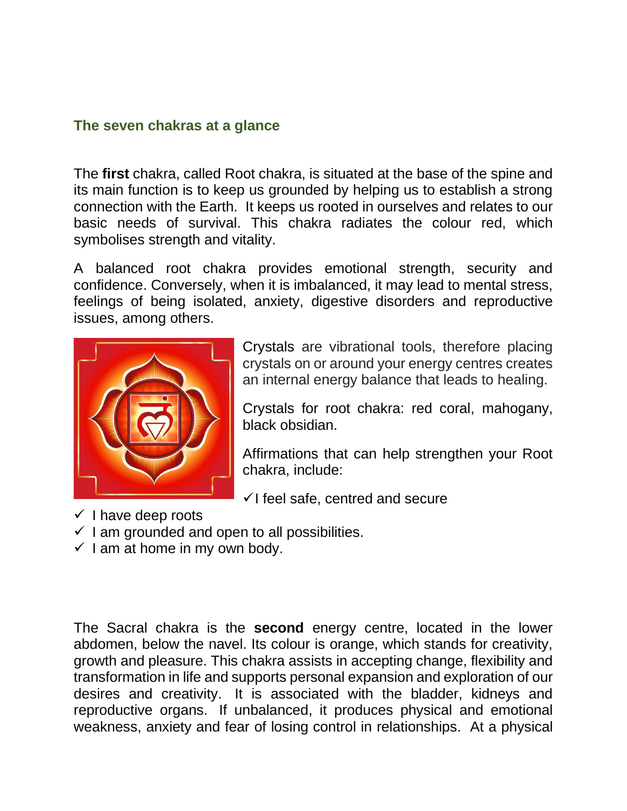## **The seven chakras at a glance**

The **first** chakra, called Root chakra, is situated at the base of the spine and its main function is to keep us grounded by helping us to establish a strong connection with the Earth. It keeps us rooted in ourselves and relates to our basic needs of survival. This chakra radiates the colour red, which symbolises strength and vitality.

A balanced root chakra provides emotional strength, security and confidence. Conversely, when it is imbalanced, it may lead to mental stress, feelings of being isolated, anxiety, digestive disorders and reproductive issues, among others.



Crystals are vibrational tools, therefore placing crystals on or around your energy centres creates an internal energy balance that leads to healing.

Crystals for root chakra: red coral, mahogany, black obsidian.

Affirmations that can help strengthen your Root chakra, include:

- $\checkmark$  I feel safe, centred and secure
- $\checkmark$  I have deep roots
- $\checkmark$  I am grounded and open to all possibilities.
- $\checkmark$  I am at home in my own body.

The Sacral chakra is the **second** energy centre, located in the lower abdomen, below the navel. Its colour is orange, which stands for creativity, growth and pleasure. This chakra assists in accepting change, flexibility and transformation in life and supports personal expansion and exploration of our desires and creativity. It is associated with the bladder, kidneys and reproductive organs. If unbalanced, it produces physical and emotional weakness, anxiety and fear of losing control in relationships. At a physical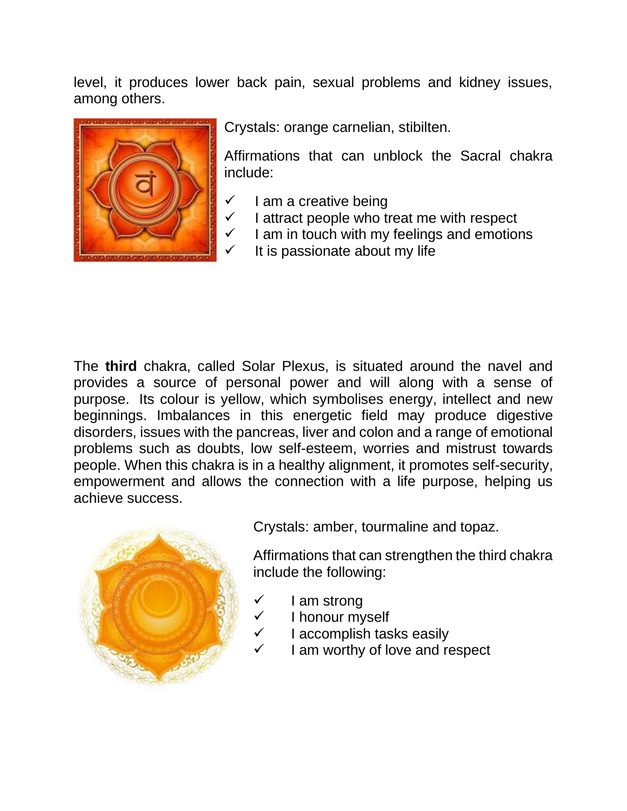level, it produces lower back pain, sexual problems and kidney issues, among others.



Crystals: orange carnelian, stibilten.

Affirmations that can unblock the Sacral chakra include:

- $\checkmark$  I am a creative being
- $\checkmark$  I attract people who treat me with respect
- $\checkmark$  I am in touch with my feelings and emotions
	- It is passionate about my life

The **third** chakra, called Solar Plexus, is situated around the navel and provides a source of personal power and will along with a sense of purpose. Its colour is yellow, which symbolises energy, intellect and new beginnings. Imbalances in this energetic field may produce digestive disorders, issues with the pancreas, liver and colon and a range of emotional problems such as doubts, low self-esteem, worries and mistrust towards people. When this chakra is in a healthy alignment, it promotes self-security, empowerment and allows the connection with a life purpose, helping us achieve success.



Crystals: amber, tourmaline and topaz.

Affirmations that can strengthen the third chakra include the following:

- ✓ I am strong
- I honour myself
- ✓ I accomplish tasks easily
- $\checkmark$  I am worthy of love and respect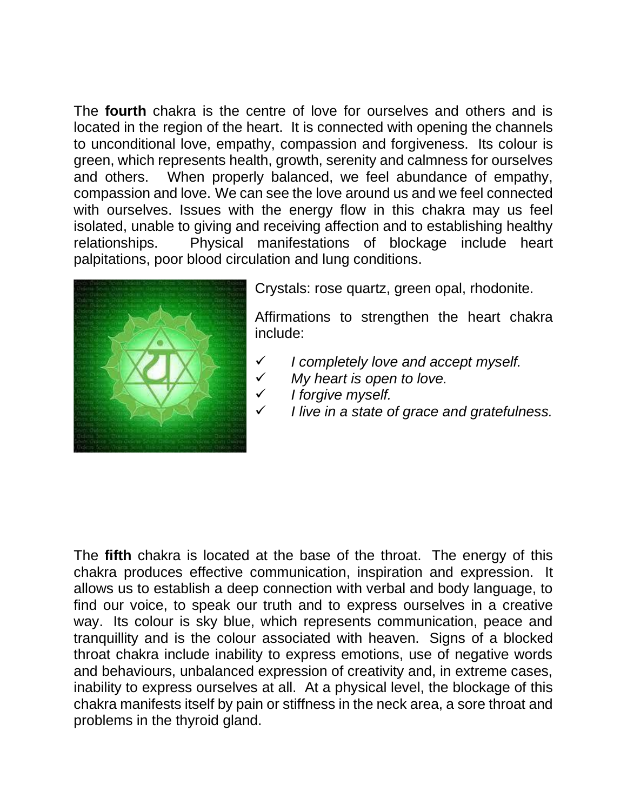The **fourth** chakra is the centre of love for ourselves and others and is located in the region of the heart. It is connected with opening the channels to unconditional love, empathy, compassion and forgiveness. Its colour is green, which represents health, growth, serenity and calmness for ourselves and others. When properly balanced, we feel abundance of empathy, compassion and love. We can see the love around us and we feel connected with ourselves. Issues with the energy flow in this chakra may us feel isolated, unable to giving and receiving affection and to establishing healthy relationships. Physical manifestations of blockage include heart palpitations, poor blood circulation and lung conditions.



Crystals: rose quartz, green opal, rhodonite.

Affirmations to strengthen the heart chakra include:

- ✓ *I completely love and accept myself.*
- ✓ *My heart is open to love.*
- ✓ *I forgive myself.*
- ✓ *I live in a state of grace and gratefulness.*

The **fifth** chakra is located at the base of the throat. The energy of this chakra produces effective communication, inspiration and expression. It allows us to establish a deep connection with verbal and body language, to find our voice, to speak our truth and to express ourselves in a creative way. Its colour is sky blue, which represents communication, peace and tranquillity and is the colour associated with heaven. Signs of a blocked throat chakra include inability to express emotions, use of negative words and behaviours, unbalanced expression of creativity and, in extreme cases, inability to express ourselves at all. At a physical level, the blockage of this chakra manifests itself by pain or stiffness in the neck area, a sore throat and problems in the thyroid gland.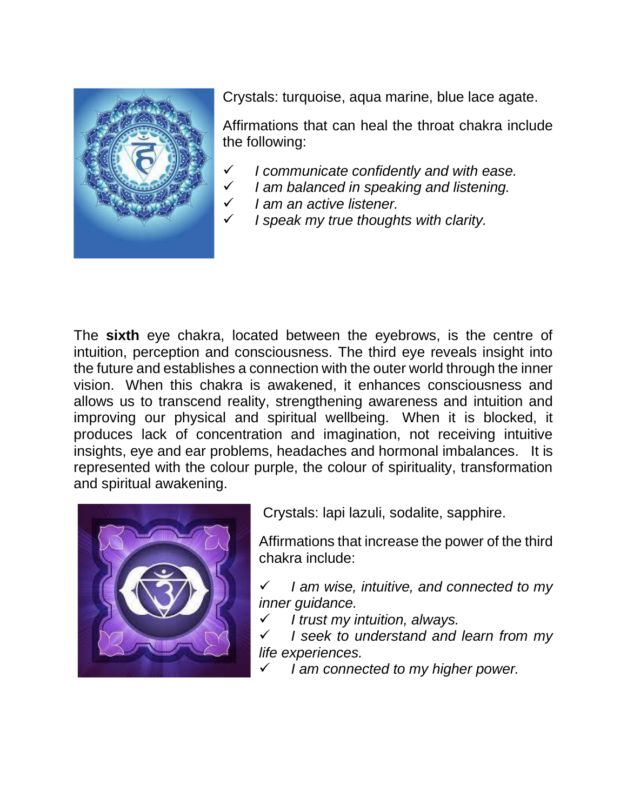

Crystals: turquoise, aqua marine, blue lace agate.

Affirmations that can heal the throat chakra include the following:

- ✓ *I communicate confidently and with ease.*
- ✓ *I am balanced in speaking and listening.*
- ✓ *I am an active listener.*
	- ✓ *I speak my true thoughts with clarity.*

The **sixth** eye chakra, located between the eyebrows, is the centre of intuition, perception and consciousness. The third eye reveals insight into the future and establishes a connection with the outer world through the inner vision. When this chakra is awakened, it enhances consciousness and allows us to transcend reality, strengthening awareness and intuition and improving our physical and spiritual wellbeing. When it is blocked, it produces lack of concentration and imagination, not receiving intuitive insights, eye and ear problems, headaches and hormonal imbalances. It is represented with the colour purple, the colour of spirituality, transformation and spiritual awakening.



Crystals: lapi lazuli, sodalite, sapphire.

Affirmations that increase the power of the third chakra include:

✓ *I am wise, intuitive, and connected to my inner guidance.*

✓ *I trust my intuition, always.*

✓ *I seek to understand and learn from my life experiences.*

✓ *I am connected to my higher power.*